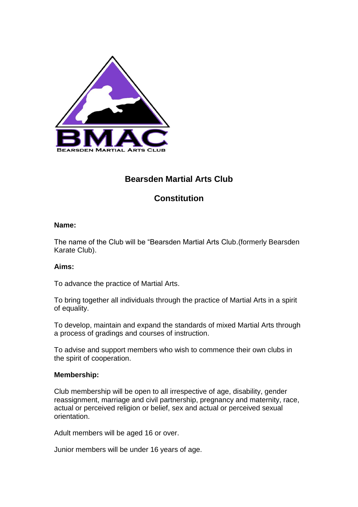

# **Bearsden Martial Arts Club**

# **Constitution**

#### **Name:**

The name of the Club will be "Bearsden Martial Arts Club.(formerly Bearsden Karate Club).

# **Aims:**

To advance the practice of Martial Arts.

To bring together all individuals through the practice of Martial Arts in a spirit of equality.

To develop, maintain and expand the standards of mixed Martial Arts through a process of gradings and courses of instruction.

To advise and support members who wish to commence their own clubs in the spirit of cooperation.

# **Membership:**

Club membership will be open to all irrespective of age, disability, gender reassignment, marriage and civil partnership, pregnancy and maternity, race, actual or perceived religion or belief, sex and actual or perceived sexual orientation.

Adult members will be aged 16 or over.

Junior members will be under 16 years of age.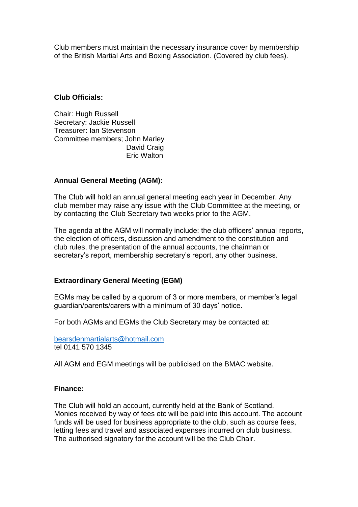Club members must maintain the necessary insurance cover by membership of the British Martial Arts and Boxing Association. (Covered by club fees).

#### **Club Officials:**

Chair: Hugh Russell Secretary: Jackie Russell Treasurer: Ian Stevenson Committee members; John Marley David Craig Eric Walton

#### **Annual General Meeting (AGM):**

The Club will hold an annual general meeting each year in December. Any club member may raise any issue with the Club Committee at the meeting, or by contacting the Club Secretary two weeks prior to the AGM.

The agenda at the AGM will normally include: the club officers' annual reports, the election of officers, discussion and amendment to the constitution and club rules, the presentation of the annual accounts, the chairman or secretary's report, membership secretary's report, any other business.

# **Extraordinary General Meeting (EGM)**

EGMs may be called by a quorum of 3 or more members, or member's legal guardian/parents/carers with a minimum of 30 days' notice.

For both AGMs and EGMs the Club Secretary may be contacted at:

[bearsdenmartialarts@hotmail.com](mailto:bearsdenmartialarts@hotmail.com) tel 0141 570 1345

All AGM and EGM meetings will be publicised on the BMAC website.

#### **Finance:**

The Club will hold an account, currently held at the Bank of Scotland. Monies received by way of fees etc will be paid into this account. The account funds will be used for business appropriate to the club, such as course fees, letting fees and travel and associated expenses incurred on club business. The authorised signatory for the account will be the Club Chair.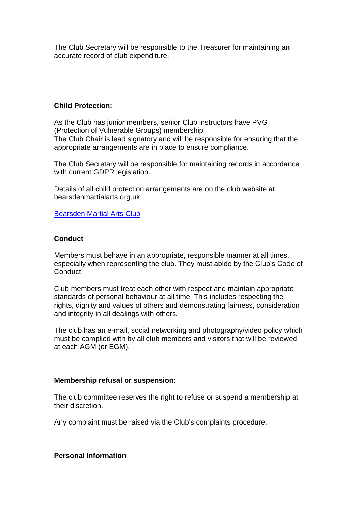The Club Secretary will be responsible to the Treasurer for maintaining an accurate record of club expenditure.

#### **Child Protection:**

As the Club has junior members, senior Club instructors have PVG (Protection of Vulnerable Groups) membership. The Club Chair is lead signatory and will be responsible for ensuring that the appropriate arrangements are in place to ensure compliance.

The Club Secretary will be responsible for maintaining records in accordance with current GDPR legislation.

Details of all child protection arrangements are on the club website at bearsdenmartialarts.org.uk.

[Bearsden Martial Arts Club](https://www.bearsdenmartialarts.org/) 

# **Conduct**

Members must behave in an appropriate, responsible manner at all times, especially when representing the club. They must abide by the Club's Code of Conduct.

Club members must treat each other with respect and maintain appropriate standards of personal behaviour at all time. This includes respecting the rights, dignity and values of others and demonstrating fairness, consideration and integrity in all dealings with others.

The club has an e-mail, social networking and photography/video policy which must be complied with by all club members and visitors that will be reviewed at each AGM (or EGM).

#### **Membership refusal or suspension:**

The club committee reserves the right to refuse or suspend a membership at their discretion.

Any complaint must be raised via the Club's complaints procedure.

**Personal Information**